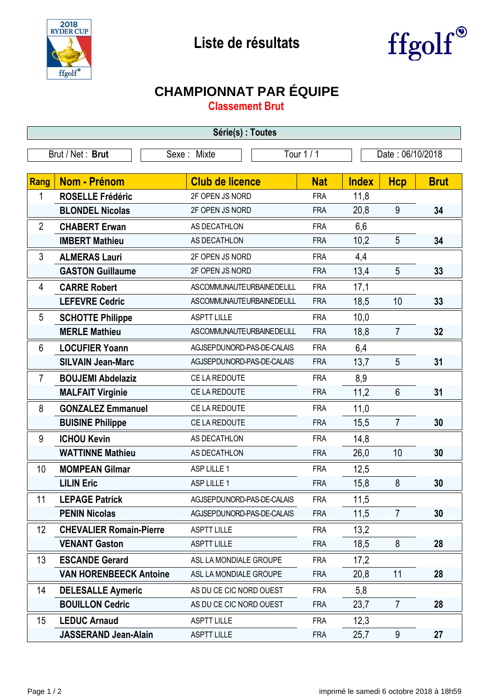



## **CHAMPIONNAT PAR ÉQUIPE**

**Classement Brut**

| Série(s) : Toutes |                                |                            |            |              |                  |             |  |  |  |
|-------------------|--------------------------------|----------------------------|------------|--------------|------------------|-------------|--|--|--|
|                   | Brut / Net: Brut               | Sexe: Mixte                | Tour 1 / 1 |              | Date: 06/10/2018 |             |  |  |  |
|                   |                                |                            |            |              |                  |             |  |  |  |
| Rang              | <b>Nom - Prénom</b>            | <b>Club de licence</b>     | <b>Nat</b> | <b>Index</b> | <b>Hcp</b>       | <b>Brut</b> |  |  |  |
| 1                 | <b>ROSELLE Frédéric</b>        | 2F OPEN JS NORD            | <b>FRA</b> | 11,8         |                  |             |  |  |  |
|                   | <b>BLONDEL Nicolas</b>         | 2F OPEN JS NORD            | <b>FRA</b> | 20,8         | 9                | 34          |  |  |  |
| $\overline{2}$    | <b>CHABERT Erwan</b>           | AS DECATHLON               | <b>FRA</b> | 6,6          |                  |             |  |  |  |
|                   | <b>IMBERT Mathieu</b>          | AS DECATHLON               | <b>FRA</b> | 10,2         | 5                | 34          |  |  |  |
| 3                 | <b>ALMERAS Lauri</b>           | 2F OPEN JS NORD            | <b>FRA</b> | 4,4          |                  |             |  |  |  |
|                   | <b>GASTON Guillaume</b>        | 2F OPEN JS NORD            | <b>FRA</b> | 13,4         | 5                | 33          |  |  |  |
| 4                 | <b>CARRE Robert</b>            | ASCOMMUNAUTEURBAINEDELILL  | <b>FRA</b> | 17,1         |                  |             |  |  |  |
|                   | <b>LEFEVRE Cedric</b>          | ASCOMMUNAUTEURBAINEDELILL  | <b>FRA</b> | 18,5         | 10               | 33          |  |  |  |
| 5                 | <b>SCHOTTE Philippe</b>        | <b>ASPTT LILLE</b>         | <b>FRA</b> | 10,0         |                  |             |  |  |  |
|                   | <b>MERLE Mathieu</b>           | ASCOMMUNAUTEURBAINEDELILL  | <b>FRA</b> | 18,8         | $\overline{7}$   | 32          |  |  |  |
| 6                 | <b>LOCUFIER Yoann</b>          | AGJSEPDUNORD-PAS-DE-CALAIS | <b>FRA</b> | 6,4          |                  |             |  |  |  |
|                   | <b>SILVAIN Jean-Marc</b>       | AGJSEPDUNORD-PAS-DE-CALAIS | <b>FRA</b> | 13,7         | 5                | 31          |  |  |  |
| $\overline{7}$    | <b>BOUJEMI Abdelaziz</b>       | CE LA REDOUTE              | <b>FRA</b> | 8,9          |                  |             |  |  |  |
|                   | <b>MALFAIT Virginie</b>        | CE LA REDOUTE              | <b>FRA</b> | 11,2         | $6\phantom{1}$   | 31          |  |  |  |
| 8                 | <b>GONZALEZ Emmanuel</b>       | CE LA REDOUTE              | <b>FRA</b> | 11,0         |                  |             |  |  |  |
|                   | <b>BUISINE Philippe</b>        | CE LA REDOUTE              | <b>FRA</b> | 15,5         | $\overline{7}$   | 30          |  |  |  |
| 9                 | <b>ICHOU Kevin</b>             | AS DECATHLON               | <b>FRA</b> | 14,8         |                  |             |  |  |  |
|                   | <b>WATTINNE Mathieu</b>        | AS DECATHLON               | <b>FRA</b> | 26,0         | 10               | 30          |  |  |  |
| 10                | <b>MOMPEAN Gilmar</b>          | ASP LILLE 1                | <b>FRA</b> | 12,5         |                  |             |  |  |  |
|                   | <b>LILIN Eric</b>              | ASP LILLE 1                | <b>FRA</b> | 15,8         | 8                | 30          |  |  |  |
| 11                | <b>LEPAGE Patrick</b>          | AGJSEPDUNORD-PAS-DE-CALAIS | <b>FRA</b> | 11,5         |                  |             |  |  |  |
|                   | <b>PENIN Nicolas</b>           | AGJSEPDUNORD-PAS-DE-CALAIS | <b>FRA</b> | 11,5         | $\overline{7}$   | 30          |  |  |  |
| 12                | <b>CHEVALIER Romain-Pierre</b> | <b>ASPTT LILLE</b>         | <b>FRA</b> | 13,2         |                  |             |  |  |  |
|                   | <b>VENANT Gaston</b>           | <b>ASPTT LILLE</b>         | <b>FRA</b> | 18,5         | 8                | 28          |  |  |  |
| 13                | <b>ESCANDE Gerard</b>          | ASL LA MONDIALE GROUPE     | <b>FRA</b> | 17,2         |                  |             |  |  |  |
|                   | <b>VAN HORENBEECK Antoine</b>  | ASL LA MONDIALE GROUPE     | <b>FRA</b> | 20,8         | 11               | 28          |  |  |  |
| 14                | <b>DELESALLE Aymeric</b>       | AS DU CE CIC NORD OUEST    | <b>FRA</b> | 5,8          |                  |             |  |  |  |
|                   | <b>BOUILLON Cedric</b>         | AS DU CE CIC NORD OUEST    | <b>FRA</b> | 23,7         | $\overline{7}$   | 28          |  |  |  |
| 15                | <b>LEDUC Arnaud</b>            | <b>ASPTT LILLE</b>         | <b>FRA</b> | 12,3         |                  |             |  |  |  |
|                   | <b>JASSERAND Jean-Alain</b>    | <b>ASPTT LILLE</b>         | <b>FRA</b> | 25,7         | 9                | 27          |  |  |  |